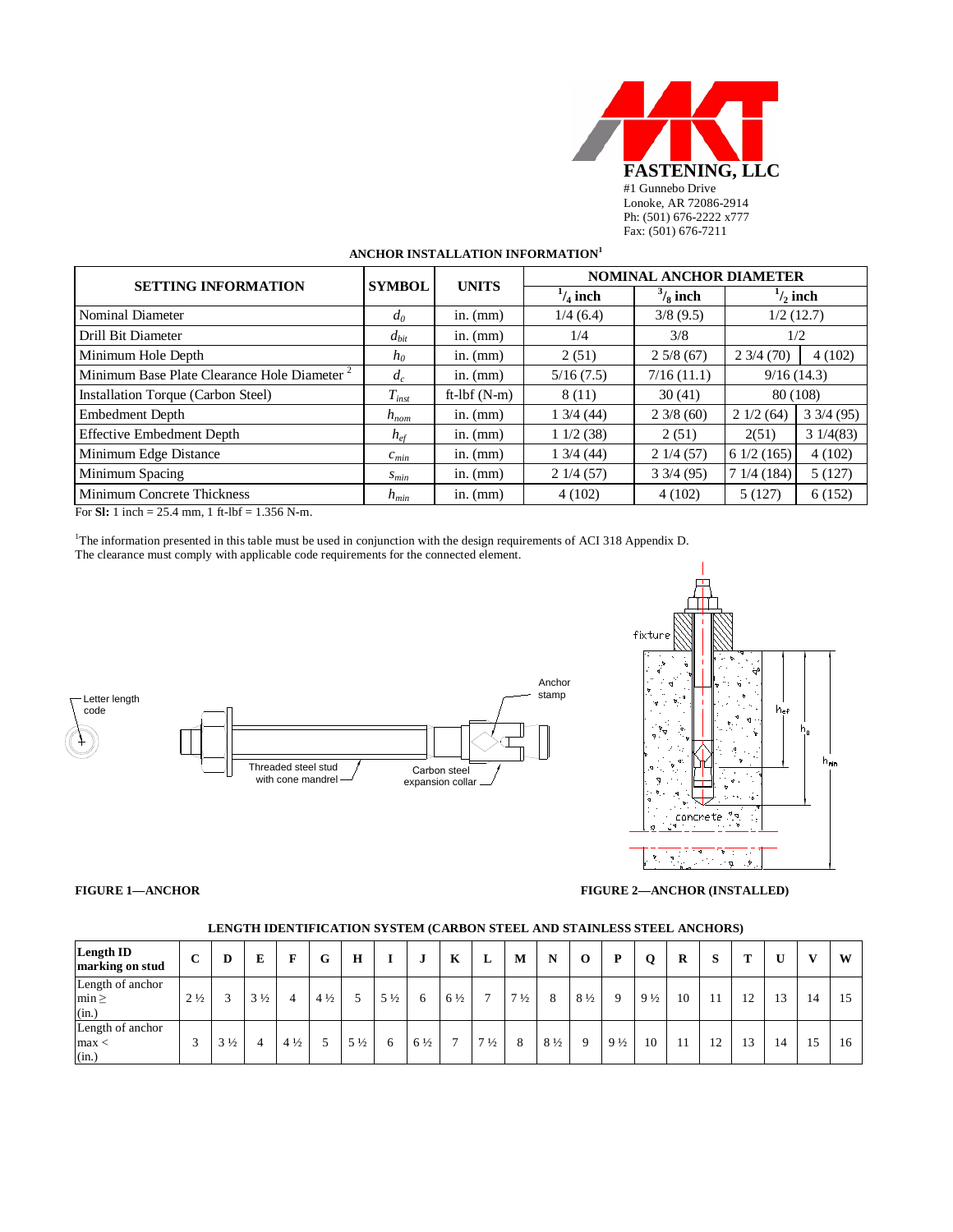

# **ANCHOR INSTALLATION INFORMATION<sup>1</sup>**

| <b>SETTING INFORMATION</b>                              | <b>SYMBOL</b>   | <b>UNITS</b>   | <b>NOMINAL ANCHOR DIAMETER</b> |                    |                               |                    |  |  |  |  |  |
|---------------------------------------------------------|-----------------|----------------|--------------------------------|--------------------|-------------------------------|--------------------|--|--|--|--|--|
|                                                         |                 |                | $\frac{1}{4}$ inch             | $\frac{3}{8}$ inch | $\frac{1}{2}$ inch            |                    |  |  |  |  |  |
| Nominal Diameter                                        | $d_0$           | in. $(mm)$     | 1/4(6.4)                       | 3/8(9.5)           |                               | 1/2(12.7)          |  |  |  |  |  |
| Drill Bit Diameter                                      | $d_{bit}$       | in. $(mm)$     | 1/4                            | 3/8                |                               | 1/2                |  |  |  |  |  |
| Minimum Hole Depth                                      | $h_0$           | in. $(mm)$     | 2(51)                          | 25/8(67)           | $2\frac{3}{4}\left(70\right)$ | 4(102)             |  |  |  |  |  |
| Minimum Base Plate Clearance Hole Diameter <sup>2</sup> | $d_c$           | in. $(mm)$     | 5/16(7.5)                      | 7/16(11.1)         |                               | 9/16(14.3)         |  |  |  |  |  |
| Installation Torque (Carbon Steel)                      | $T_{inst}$      | ft- $Ibf(N-m)$ | 8 (11)                         | 30(41)             |                               | 80 (108)           |  |  |  |  |  |
| Embedment Depth                                         | $h_{nom}$       | in. $(mm)$     | $1\,3/4\,(44)$                 | $2\frac{3}{8}(60)$ | 21/2(64)                      | $3\frac{3}{4}(95)$ |  |  |  |  |  |
| <b>Effective Embedment Depth</b>                        | $h_{\text{ef}}$ | in. $(mm)$     | 11/2(38)                       | 2(51)              | 2(51)                         | 31/4(83)           |  |  |  |  |  |
| Minimum Edge Distance                                   | $c_{min}$       | in. $(mm)$     | $1\,3/4\,(44)$                 | 21/4(57)           | 61/2(165)                     | 4(102)             |  |  |  |  |  |
| Minimum Spacing                                         | $S_{min}$       | in. $(mm)$     | 21/4(57)                       | $3\frac{3}{4}(95)$ | 71/4(184)                     | 5(127)             |  |  |  |  |  |
| <b>Minimum Concrete Thickness</b>                       | $h_{min}$       | in. $(mm)$     | 4(102)                         | 4(102)             | 5(127)                        | 6(152)             |  |  |  |  |  |

For **Sl:** 1 inch = 25.4 mm, 1 ft-lbf = 1.356 N-m.

1 The information presented in this table must be used in conjunction with the design requirements of ACI 318 Appendix D. The clearance must comply with applicable code requirements for the connected element.





**FIGURE 1—ANCHOR FIGURE 2—ANCHOR (INSTALLED)**

| Length ID<br>marking on stud            | $\mathbf C$    | D                        | Е              | F              | G              | $\bf{H}$       |                | u              | K              | L              | M              | N              | $\bf{0}$       | P              | Q              | R  |    | m  |    | $\mathbf{v}$ | W  |
|-----------------------------------------|----------------|--------------------------|----------------|----------------|----------------|----------------|----------------|----------------|----------------|----------------|----------------|----------------|----------------|----------------|----------------|----|----|----|----|--------------|----|
| Length of anchor<br>$min \geq$<br>(in.) | $2\frac{1}{2}$ | $\overline{\phantom{a}}$ | $3\frac{1}{2}$ | 4              | $4\frac{1}{2}$ |                | $5\frac{1}{2}$ | 6              | $6\frac{1}{2}$ | −              | $7\frac{1}{2}$ | 8              | $8\frac{1}{2}$ | $\Omega$       | $9\frac{1}{2}$ | 10 |    | 12 | 13 | 14           |    |
| Length of anchor<br>max<br>(in.)        |                | $3\frac{1}{2}$           |                | $4\frac{1}{2}$ |                | $5\frac{1}{2}$ | 6              | $6\frac{1}{2}$ | $\mathbf{r}$   | $7\frac{1}{2}$ | 8              | $8\frac{1}{2}$ | -9             | $9\frac{1}{2}$ | 10             |    | 12 | 13 | 14 | 15           | 16 |

#### **LENGTH IDENTIFICATION SYSTEM (CARBON STEEL AND STAINLESS STEEL ANCHORS)**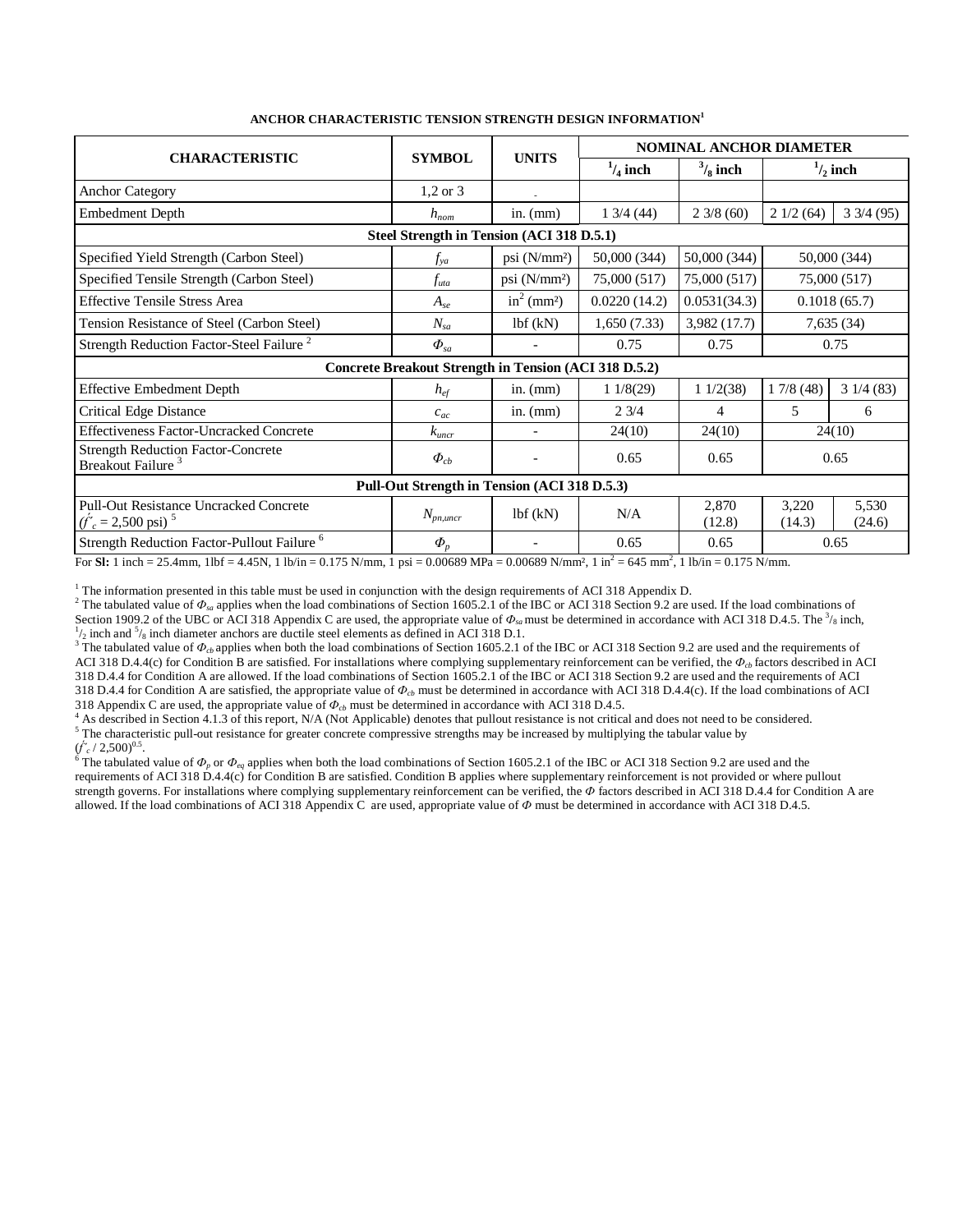|                                                                                                                                                                   |                                                       |                           | <b>NOMINAL ANCHOR DIAMETER</b> |                    |                 |                    |  |  |  |  |  |  |
|-------------------------------------------------------------------------------------------------------------------------------------------------------------------|-------------------------------------------------------|---------------------------|--------------------------------|--------------------|-----------------|--------------------|--|--|--|--|--|--|
| <b>CHARACTERISTIC</b>                                                                                                                                             | <b>SYMBOL</b>                                         | <b>UNITS</b>              | $\frac{1}{4}$ inch             | $\frac{3}{8}$ inch |                 | $\frac{1}{2}$ inch |  |  |  |  |  |  |
| <b>Anchor Category</b>                                                                                                                                            | $1,2 \text{ or } 3$                                   |                           |                                |                    |                 |                    |  |  |  |  |  |  |
| Embedment Depth                                                                                                                                                   | $h_{nom}$                                             | in. $(mm)$                | 13/4(44)                       | $2\frac{3}{8}(60)$ | 21/2(64)        | $3\frac{3}{4}(95)$ |  |  |  |  |  |  |
| Steel Strength in Tension (ACI 318 D.5.1)                                                                                                                         |                                                       |                           |                                |                    |                 |                    |  |  |  |  |  |  |
| Specified Yield Strength (Carbon Steel)                                                                                                                           | $f_{ya}$                                              | psi $(N/mm2)$             | 50,000 (344)                   | 50,000 (344)       |                 | 50,000 (344)       |  |  |  |  |  |  |
| Specified Tensile Strength (Carbon Steel)                                                                                                                         | $f_{uta}$                                             | psi $(N/mm2)$             | 75,000 (517)                   | 75,000 (517)       |                 | 75,000 (517)       |  |  |  |  |  |  |
| <b>Effective Tensile Stress Area</b>                                                                                                                              | $A_{se}$                                              | $in^2$ (mm <sup>2</sup> ) | 0.0220(14.2)                   | 0.0531(34.3)       |                 | 0.1018(65.7)       |  |  |  |  |  |  |
| Tension Resistance of Steel (Carbon Steel)                                                                                                                        | $N_{sa}$                                              | 1bf(kN)                   | 1,650(7.33)                    | 3,982 (17.7)       |                 | 7,635(34)          |  |  |  |  |  |  |
| Strength Reduction Factor-Steel Failure <sup>2</sup>                                                                                                              | $\boldsymbol{\varPhi}_{\mathit{sa}}$                  | $\overline{\phantom{a}}$  | 0.75                           | 0.75               |                 | 0.75               |  |  |  |  |  |  |
|                                                                                                                                                                   | Concrete Breakout Strength in Tension (ACI 318 D.5.2) |                           |                                |                    |                 |                    |  |  |  |  |  |  |
| <b>Effective Embedment Depth</b>                                                                                                                                  | $h_{e f}$                                             | in. $(mm)$                | 11/8(29)                       | 11/2(38)           | 17/8(48)        | 31/4(83)           |  |  |  |  |  |  |
| <b>Critical Edge Distance</b>                                                                                                                                     | $c_{ac}$                                              | in. $(mm)$                | 23/4                           | 4                  | 5               | 6                  |  |  |  |  |  |  |
| <b>Effectiveness Factor-Uncracked Concrete</b>                                                                                                                    | $k_{\iota \iota \iota \iota \iota \iota}$             | $\overline{\phantom{0}}$  | 24(10)                         | 24(10)             |                 | 24(10)             |  |  |  |  |  |  |
| <b>Strength Reduction Factor-Concrete</b><br>Breakout Failure <sup>3</sup>                                                                                        | $\Phi_{cb}$                                           |                           | 0.65                           | 0.65               |                 | 0.65               |  |  |  |  |  |  |
|                                                                                                                                                                   | Pull-Out Strength in Tension (ACI 318 D.5.3)          |                           |                                |                    |                 |                    |  |  |  |  |  |  |
| <b>Pull-Out Resistance Uncracked Concrete</b><br>$(f'_c = 2,500 \text{ psi})^{-5}$                                                                                | $N_{p n, uncr}$                                       | 1bf(kN)                   | N/A                            | 2,870<br>(12.8)    | 3,220<br>(14.3) | 5,530<br>(24.6)    |  |  |  |  |  |  |
| Strength Reduction Factor-Pullout Failure <sup>6</sup>                                                                                                            | $\Phi_{\scriptscriptstyle n}$                         |                           | 0.65                           | 0.65               | 0.65            |                    |  |  |  |  |  |  |
| For St: 1 inch = 25.4mm, 1lbf = 4.45N, 1 lb/in = 0.175 N/mm, 1 psi = 0.00689 MPa = 0.00689 N/mm?, 1 in <sup>2</sup> = 645 mm <sup>2</sup> , 1 lb/in = 0.175 N/mm. |                                                       |                           |                                |                    |                 |                    |  |  |  |  |  |  |

<sup>1</sup> The information presented in this table must be used in conjunction with the design requirements of ACI 318 Appendix D.<br><sup>2</sup> The tabulated value of  $\Phi_{sa}$  applies when the load combinations of Section 1605.2.1 of the Section 1909.2 of the UBC or ACI 318 Appendix C are used, the appropriate value of  $\Phi_{sa}$  must be determined in accordance with ACI 318 D.4.5. The <sup>3</sup>/<sub>8</sub> inch,  $\frac{1}{2}$  inch and  $\frac{5}{8}$  inch diameter anchors are ductile steel elements as defined in ACI 318 D.1.

<sup>3</sup> The tabulated value of  $\Phi_{cb}$  applies when both the load combinations of Section 1605.2.1 of the IBC or ACI 318 Section 9.2 are used and the requirements of ACI 318 D.4.4(c) for Condition B are satisfied. For installations where complying supplementary reinforcement can be verified, the  $\Phi_{cb}$  factors described in ACI 318 D.4.4 for Condition A are allowed. If the load combinations of Section 1605.2.1 of the IBC or ACI 318 Section 9.2 are used and the requirements of ACI 318 D.4.4 for Condition A are satisfied, the appropriate value of  $\Phi_{cb}$  must be determined in accordance with ACI 318 D.4.4(c). If the load combinations of ACI 318 Appendix C are used, the appropriate value of  $\Phi_{cb}$  m

<sup>4</sup> As described in Section 4.1.3 of this report, N/A (Not Applicable) denotes that pullout resistance is not critical and does not need to be considered.<br><sup>5</sup> The characteristic pull-out resistance for greater concrete co

 $(\hat{f}_c^{\prime}/2,500)^{0.5}$ .<br><sup>6</sup> The tabulated value of  $\Phi_p$  or  $\Phi_{eq}$  applies when both the load combinations of Section 1605.2.1 of the IBC or ACI 318 Section 9.2 are used and the <sup>6</sup> The tabulated value of  $\Phi_p$  or  $\Phi_{eq$ requirements of ACI 318 D.4.4(c) for Condition B are satisfied. Condition B applies where supplementary reinforcement is not provided or where pullout strength governs. For installations where complying supplementary reinforcement can be verified, the *Ф* factors described in ACI 318 D.4.4 for Condition A are allowed. If the load combinations of ACI 318 Appendix C are used, appropriate value of *Ф* must be determined in accordance with ACI 318 D.4.5.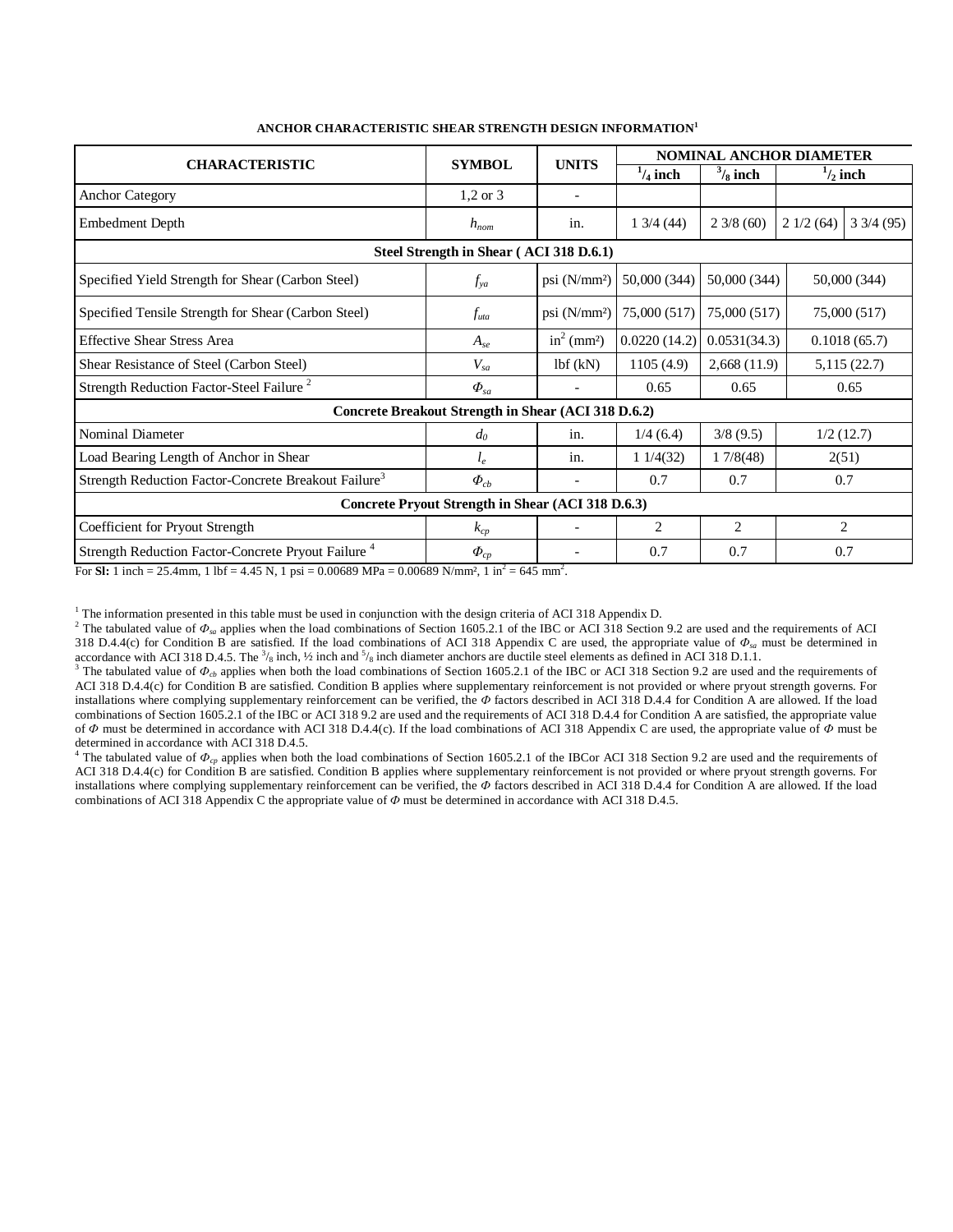|                                                                  |                                                     |                           | <b>NOMINAL ANCHOR DIAMETER</b> |                    |                |                    |  |  |  |  |  |  |  |
|------------------------------------------------------------------|-----------------------------------------------------|---------------------------|--------------------------------|--------------------|----------------|--------------------|--|--|--|--|--|--|--|
| <b>CHARACTERISTIC</b>                                            | <b>SYMBOL</b>                                       | <b>UNITS</b>              | $\frac{1}{4}$ inch             | $\frac{3}{8}$ inch |                | $\frac{1}{2}$ inch |  |  |  |  |  |  |  |
| <b>Anchor Category</b>                                           | $1,2$ or $3$                                        |                           |                                |                    |                |                    |  |  |  |  |  |  |  |
| Embedment Depth                                                  | $h_{nom}$                                           | in.                       | 13/4(44)                       | $2\frac{3}{8}(60)$ | 21/2(64)       | $3\frac{3}{4}(95)$ |  |  |  |  |  |  |  |
| Steel Strength in Shear (ACI 318 D.6.1)                          |                                                     |                           |                                |                    |                |                    |  |  |  |  |  |  |  |
| Specified Yield Strength for Shear (Carbon Steel)                | $f_{ya}$                                            | psi (N/mm <sup>2</sup> )  | 50,000 (344)                   | 50,000 (344)       |                | 50,000 (344)       |  |  |  |  |  |  |  |
| Specified Tensile Strength for Shear (Carbon Steel)              | $f_{uta}$                                           | psi (N/mm <sup>2</sup> )  | 75,000 (517)                   | 75,000 (517)       |                | 75,000 (517)       |  |  |  |  |  |  |  |
| <b>Effective Shear Stress Area</b>                               | $A_{se}$                                            | $in^2$ (mm <sup>2</sup> ) | 0.0220(14.2)                   | 0.0531(34.3)       |                | 0.1018(65.7)       |  |  |  |  |  |  |  |
| Shear Resistance of Steel (Carbon Steel)                         | $V_{sa}$                                            | lbf(kN)                   | 1105(4.9)                      | 2,668(11.9)        |                | 5,115(22.7)        |  |  |  |  |  |  |  |
| Strength Reduction Factor-Steel Failure <sup>2</sup>             | $\Phi_{sa}$                                         |                           | 0.65                           | 0.65               | 0.65           |                    |  |  |  |  |  |  |  |
|                                                                  | Concrete Breakout Strength in Shear (ACI 318 D.6.2) |                           |                                |                    |                |                    |  |  |  |  |  |  |  |
| <b>Nominal Diameter</b>                                          | $d_0$                                               | in.                       | 1/4(6.4)                       | 3/8(9.5)           |                | 1/2(12.7)          |  |  |  |  |  |  |  |
| Load Bearing Length of Anchor in Shear                           | $l_e$                                               | in.                       | 11/4(32)                       | 17/8(48)           |                | 2(51)              |  |  |  |  |  |  |  |
| Strength Reduction Factor-Concrete Breakout Failure <sup>3</sup> | $\Phi_{cb}$                                         |                           | 0.7                            | 0.7                | 0.7            |                    |  |  |  |  |  |  |  |
| Concrete Pryout Strength in Shear (ACI 318 D.6.3)                |                                                     |                           |                                |                    |                |                    |  |  |  |  |  |  |  |
| Coefficient for Pryout Strength                                  | $k_{cp}$                                            |                           | $\overline{2}$                 | $\overline{2}$     | $\overline{2}$ |                    |  |  |  |  |  |  |  |
| Strength Reduction Factor-Concrete Pryout Failure <sup>4</sup>   | $\varPhi_{cp}$                                      |                           | 0.7                            | 0.7                | 0.7            |                    |  |  |  |  |  |  |  |

### **ANCHOR CHARACTERISTIC SHEAR STRENGTH DESIGN INFORMATION<sup>1</sup>**

For **SI:** 1 inch = 25.4mm, 1 lbf = 4.45 N, 1 psi = 0.00689 MPa = 0.00689 N/mm<sup>2</sup>, 1 in<sup>2</sup> = 645 mm<sup>2</sup>.

<sup>1</sup> The information presented in this table must be used in conjunction with the design criteria of ACI 318 Appendix D.

<sup>2</sup> The tabulated value of  $\Phi_{sa}$  applies when the load combinations of Section 1605.2.1 of the IBC or ACI 318 Section 9.2 are used and the requirements of ACI 318 D.4.4(c) for Condition B are satisfied. If the load combinations of ACI 318 Appendix C are used, the appropriate value of  $\Phi_{sa}$  must be determined in accordance with ACI 318 D.4.5. The  $\frac{3}{8}$  inch,  $\frac{1}{2}$  inch and  $\frac{5}{8}$ 

<sup>3</sup> The tabulated value of  $\Phi_{cb}$  applies when both the load combinations of Section 1605.2.1 of the IBC or ACI 318 Section 9.2 are used and the requirements of ACI 318 D.4.4(c) for Condition B are satisfied. Condition B applies where supplementary reinforcement is not provided or where pryout strength governs. For installations where complying supplementary reinforcement can be verified, the *Ф* factors described in ACI 318 D.4.4 for Condition A are allowed. If the load combinations of Section 1605.2.1 of the IBC or ACI 318 9.2 are used and the requirements of ACI 318 D.4.4 for Condition A are satisfied, the appropriate value of  $\Phi$  must be determined in accordance with ACI 318 D.4.4(c). If the load combinations of ACI 318 Appendix C are used, the appropriate value of  $\Phi$  must be determined in accordance with ACI 318 D.4.5.

<sup>4</sup> The tabulated value of  $\Phi_{cp}$  applies when both the load combinations of Section 1605.2.1 of the IBCor ACI 318 Section 9.2 are used and the requirements of ACI 318 D.4.4(c) for Condition B are satisfied. Condition B applies where supplementary reinforcement is not provided or where pryout strength governs. For installations where complying supplementary reinforcement can be verified, the *Ф* factors described in ACI 318 D.4.4 for Condition A are allowed. If the load combinations of ACI 318 Appendix C the appropriate value of *Ф* must be determined in accordance with ACI 318 D.4.5.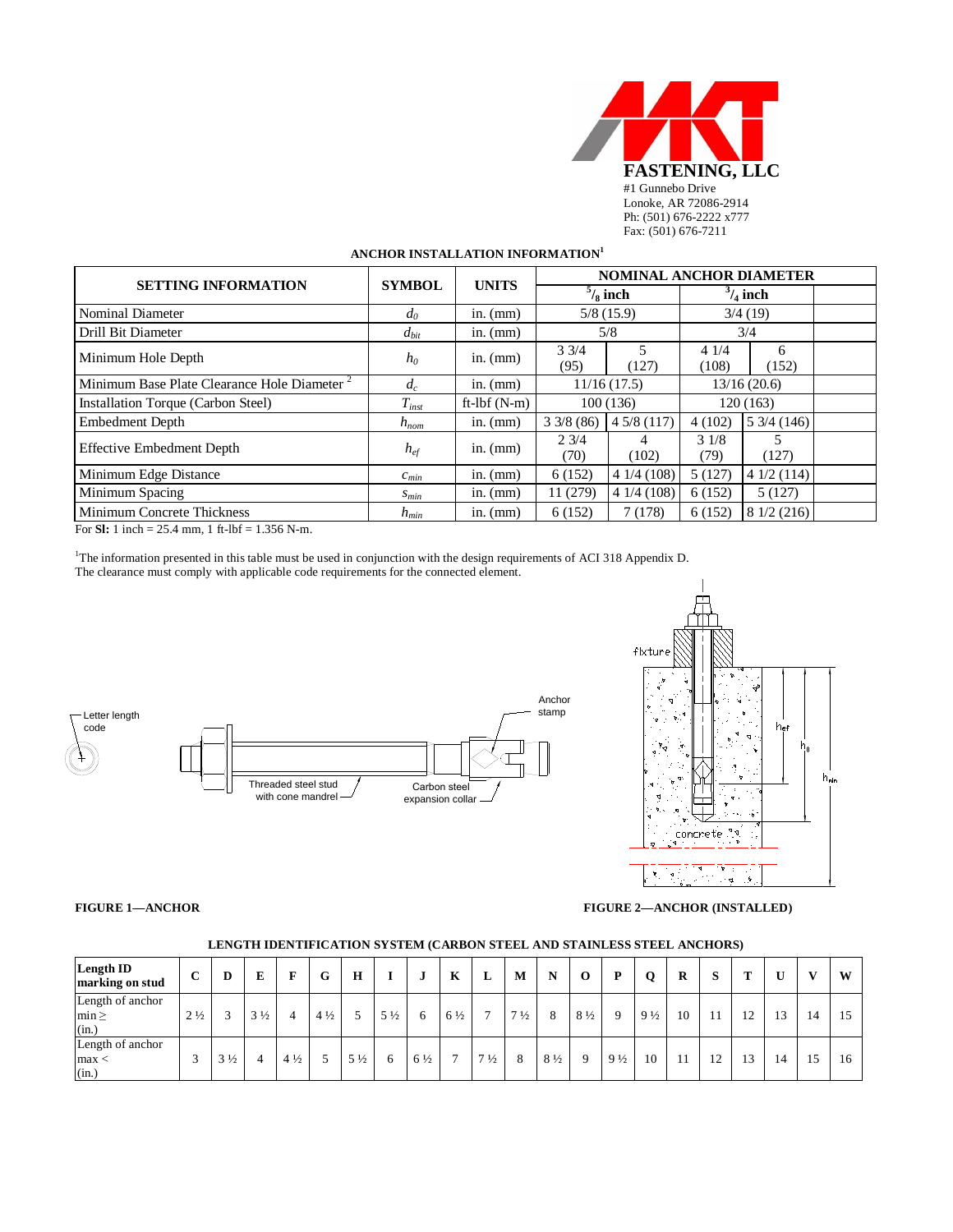

# **ANCHOR INSTALLATION INFORMATION<sup>1</sup>**

| <b>SETTING INFORMATION</b>                              | <b>SYMBOL</b> | <b>UNITS</b>    | <b>NOMINAL ANCHOR DIAMETER</b> |                    |                    |                     |  |  |  |  |  |
|---------------------------------------------------------|---------------|-----------------|--------------------------------|--------------------|--------------------|---------------------|--|--|--|--|--|
|                                                         |               |                 |                                | $\frac{5}{8}$ inch | $\frac{3}{4}$ inch |                     |  |  |  |  |  |
| Nominal Diameter                                        | $d_0$         | in. $(mm)$      |                                | 5/8(15.9)          | 3/4(19)            |                     |  |  |  |  |  |
| Drill Bit Diameter                                      | $d_{bit}$     | in. $(mm)$      |                                | 5/8                | 3/4                |                     |  |  |  |  |  |
| Minimum Hole Depth                                      | $h_0$         | in. $(mm)$      | $3 \frac{3}{4}$<br>(95)        | 5<br>(127)         | 41/4<br>(108)      | 6<br>(152)          |  |  |  |  |  |
| Minimum Base Plate Clearance Hole Diameter <sup>2</sup> | $d_c$         | in. $(mm)$      |                                | 11/16(17.5)        | 13/16(20.6)        |                     |  |  |  |  |  |
| Installation Torque (Carbon Steel)                      | $T_{inst}$    | ft- $lbf$ (N-m) |                                | 100(136)           | 120(163)           |                     |  |  |  |  |  |
| <b>Embedment Depth</b>                                  | $h_{nom}$     | in. $(mm)$      | $3\frac{3}{8}(86)$             | 45/8(117)          | 4(102)             | $5\frac{3}{4}(146)$ |  |  |  |  |  |
| <b>Effective Embedment Depth</b>                        | $h_{ef}$      | in. $(mm)$      | $2 \frac{3}{4}$<br>(70)        | 4<br>(102)         | 31/8<br>(79)       | 5<br>(127)          |  |  |  |  |  |
| Minimum Edge Distance                                   | $c_{min}$     | in. $(mm)$      | 6(152)                         | 41/4(108)          | 5(127)             | 41/2(114)           |  |  |  |  |  |
| Minimum Spacing                                         | $S_{min}$     | in. $(mm)$      | 11 (279)                       | 41/4(108)          | 6(152)             | 5(127)              |  |  |  |  |  |
| Minimum Concrete Thickness                              | $h_{min}$     | in. $(mm)$      | 6(152)                         | 7 (178)            | 6(152)             | 8 1/2 (216)         |  |  |  |  |  |

For **Sl:** 1 inch = 25.4 mm, 1 ft-lbf = 1.356 N-m.

1 The information presented in this table must be used in conjunction with the design requirements of ACI 318 Appendix D. The clearance must comply with applicable code requirements for the connected element.





**FIGURE 1—ANCHOR FIGURE 2—ANCHOR (INSTALLED)**

| <b>Length ID</b><br>marking on stud     | $\mathbf C$    |                   | Е              | F              | G              | H              |                | u              | K              | L              | M              | N              | $\bf{0}$       | D              | O              | R  | S  | T  | U  | $\mathbf{V}$ | W  |
|-----------------------------------------|----------------|-------------------|----------------|----------------|----------------|----------------|----------------|----------------|----------------|----------------|----------------|----------------|----------------|----------------|----------------|----|----|----|----|--------------|----|
| Length of anchor<br>$min \geq$<br>(in.) | $2\frac{1}{2}$ | $\sim$<br>$\prec$ | $3\frac{1}{2}$ | 4              | $4\frac{1}{2}$ |                | $5\frac{1}{2}$ | 6              | $6\frac{1}{2}$ | $\mathbf{r}$   | $7\frac{1}{2}$ | 8              | $8\frac{1}{2}$ |                | $9\frac{1}{2}$ | 10 |    | 12 | 13 | 14           | 15 |
| Length of anchor<br>$\max <$<br>(in.)   | Δ              | $3\frac{1}{2}$    | $\overline{4}$ | $4\frac{1}{2}$ |                | $5\frac{1}{2}$ | 6              | $6\frac{1}{2}$ | $\mathbf{r}$   | $7\frac{1}{2}$ | 8              | $8\frac{1}{2}$ | 9              | $9\frac{1}{2}$ | 10             | 11 | 12 | 13 | 14 | 15           | 16 |

#### **LENGTH IDENTIFICATION SYSTEM (CARBON STEEL AND STAINLESS STEEL ANCHORS)**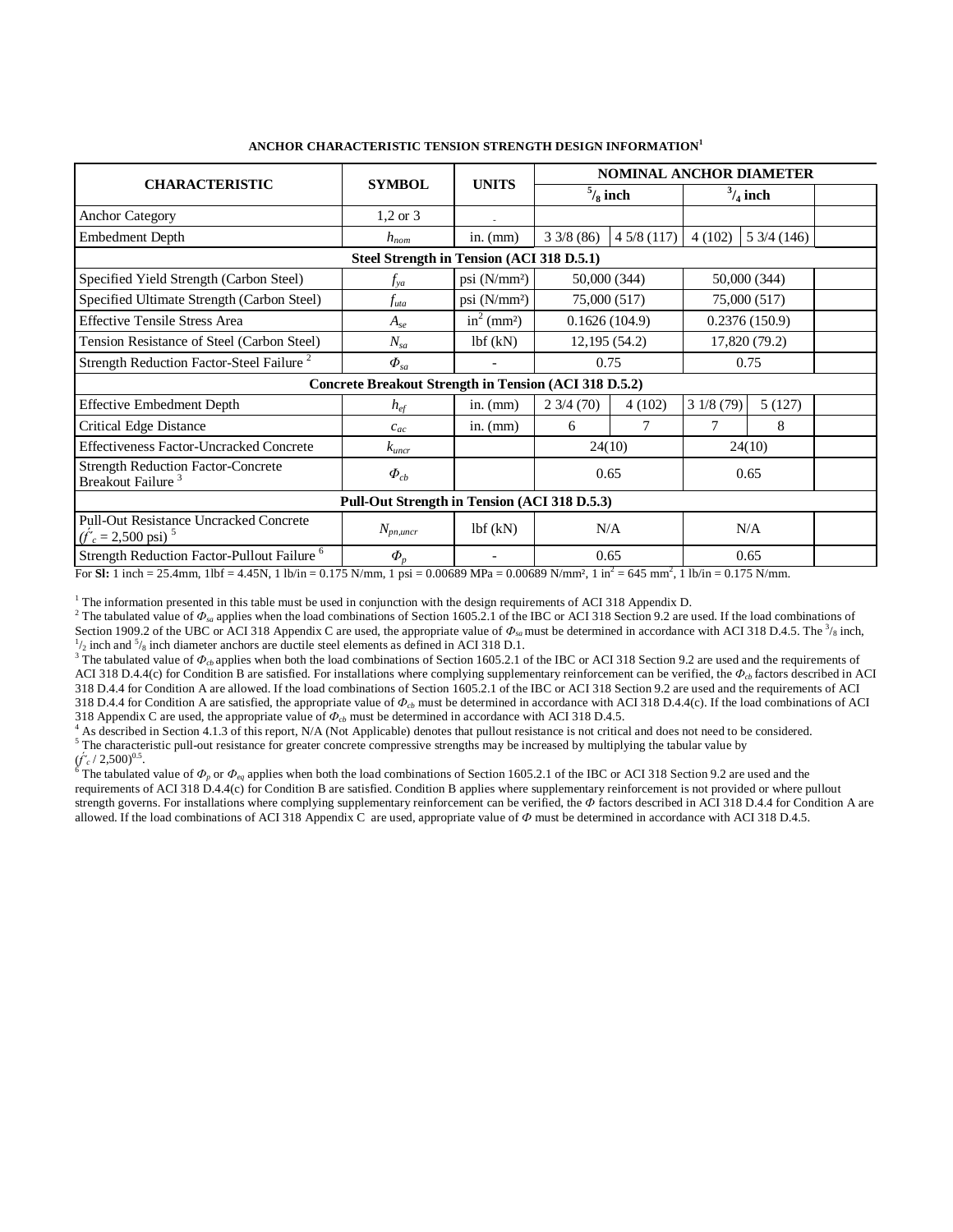|                                                                                    |                                              |                           | <b>NOMINAL ANCHOR DIAMETER</b> |                |               |                                |  |  |  |  |  |  |  |
|------------------------------------------------------------------------------------|----------------------------------------------|---------------------------|--------------------------------|----------------|---------------|--------------------------------|--|--|--|--|--|--|--|
| <b>CHARACTERISTIC</b>                                                              | <b>SYMBOL</b>                                | <b>UNITS</b>              | $\frac{5}{8}$ inch             |                |               | $\frac{3}{4}$ inch             |  |  |  |  |  |  |  |
| <b>Anchor Category</b>                                                             | $1,2 \text{ or } 3$                          |                           |                                |                |               |                                |  |  |  |  |  |  |  |
| <b>Embedment Depth</b>                                                             | $h_{nom}$                                    | in. $(mm)$                | 33/8(86)                       | 45/8(117)      | 4(102)        | $5\frac{3}{4}\left(146\right)$ |  |  |  |  |  |  |  |
| Steel Strength in Tension (ACI 318 D.5.1)                                          |                                              |                           |                                |                |               |                                |  |  |  |  |  |  |  |
| Specified Yield Strength (Carbon Steel)                                            | $f_{va}$                                     | psi $(N/mm^2)$            | 50,000 (344)                   | 50,000 (344)   |               |                                |  |  |  |  |  |  |  |
| Specified Ultimate Strength (Carbon Steel)                                         | .f <sub>uta</sub>                            | psi $(N/mm2)$             | 75,000 (517)                   |                | 75,000 (517)  |                                |  |  |  |  |  |  |  |
| <b>Effective Tensile Stress Area</b>                                               | $A_{se}$                                     | $in^2$ (mm <sup>2</sup> ) | 0.1626(104.9)                  |                | 0.2376(150.9) |                                |  |  |  |  |  |  |  |
| Tension Resistance of Steel (Carbon Steel)                                         | $N_{sa}$                                     | 1bf(kN)                   | 12, 195 (54.2)                 |                | 17,820 (79.2) |                                |  |  |  |  |  |  |  |
| Strength Reduction Factor-Steel Failure <sup>2</sup>                               | $\Phi_{sa}$                                  |                           | 0.75                           |                | 0.75          |                                |  |  |  |  |  |  |  |
| Concrete Breakout Strength in Tension (ACI 318 D.5.2)                              |                                              |                           |                                |                |               |                                |  |  |  |  |  |  |  |
| <b>Effective Embedment Depth</b>                                                   | $h_{\text{ef}}$                              | in. $(mm)$                | $2\frac{3}{4}\left(70\right)$  | 4(102)         | 31/8(79)      | 5(127)                         |  |  |  |  |  |  |  |
| <b>Critical Edge Distance</b>                                                      | $c_{ac}$                                     | in. $(mm)$                | 6                              | $\overline{7}$ | 7             | 8                              |  |  |  |  |  |  |  |
| <b>Effectiveness Factor-Uncracked Concrete</b>                                     | $k_{\text{uncr}}$                            |                           | 24(10)                         |                |               | 24(10)                         |  |  |  |  |  |  |  |
| <b>Strength Reduction Factor-Concrete</b><br>Breakout Failure <sup>3</sup>         | $\Phi_{cb}$                                  |                           | 0.65                           |                | 0.65          |                                |  |  |  |  |  |  |  |
|                                                                                    | Pull-Out Strength in Tension (ACI 318 D.5.3) |                           |                                |                |               |                                |  |  |  |  |  |  |  |
| <b>Pull-Out Resistance Uncracked Concrete</b><br>$(f'_c = 2,500 \text{ psi})^{-5}$ | $N_{pn,uncr}$                                | 1bf(kN)                   | N/A                            |                | N/A           |                                |  |  |  |  |  |  |  |
| Strength Reduction Factor-Pullout Failure <sup>6</sup>                             | $\boldsymbol{\varPhi}_p$                     |                           | 0.65                           |                |               | 0.65                           |  |  |  |  |  |  |  |

# **ANCHOR CHARACTERISTIC TENSION STRENGTH DESIGN INFORMATION<sup>1</sup>**

For **Sl:** 1 inch = 25.4mm, 1lbf = 4.45N, 1 lb/in = 0.175 N/mm, 1 psi = 0.00689 MPa = 0.00689 N/mm<sup>2</sup>, 1 in<sup>2</sup> = 645 mm<sup>2</sup>, 1 lb/in = 0.175 N/mm.

<sup>1</sup> The information presented in this table must be used in conjunction with the design requirements of ACI 318 Appendix D.

<sup>2</sup> The tabulated value of  $\Phi_{sa}$  applies when the load combinations of Section 1605.2.1 of the IBC or ACI 318 Section 9.2 are used. If the load combinations of Section 1909.2 of the UBC or ACI 318 Appendix C are used, the appropriate value of  $\Phi_{sa}$  must be determined in accordance with ACI 318 D.4.5. The <sup>3</sup>/<sub>8</sub> inch,  $\frac{1}{2}$  inch dignoter applies are ductile atople algorita  $\frac{1}{2}$  inch and  $\frac{5}{8}$  inch diameter anchors are ductile steel elements as defined in ACI 318 D.1.

<sup>3</sup> The tabulated value of  $\Phi_{cb}$  applies when both the load combinations of Section 1605.2.1 of the IBC or ACI 318 Section 9.2 are used and the requirements of ACI 318 D.4.4(c) for Condition B are satisfied. For installations where complying supplementary reinforcement can be verified, the *Фcb* factors described in ACI 318 D.4.4 for Condition A are allowed. If the load combinations of Section 1605.2.1 of the IBC or ACI 318 Section 9.2 are used and the requirements of ACI 318 D.4.4 for Condition A are satisfied, the appropriate value of  $\Phi_{cb}$  must be determined in accordance with ACI 318 D.4.4(c). If the load combinations of ACI 318 Appendix C are used, the appropriate value of  $\Phi_{cb}$  m

<sup>4</sup> As described in Section 4.1.3 of this report, N/A (Not Applicable) denotes that pullout resistance is not critical and does not need to be considered.<br><sup>5</sup> The characteristic pull-out resistance for greater concrete co

The tabulated value of  $\Phi_p$  or  $\Phi_{eq}$  applies when both the load combinations of Section 1605.2.1 of the IBC or ACI 318 Section 9.2 are used and the requirements of ACI 318 D.4.4(c) for Condition B are satisfied. Condition B applies where supplementary reinforcement is not provided or where pullout strength governs. For installations where complying supplementary reinforcement can be verified, the  $\Phi$  factors described in ACI 318 D.4.4 for Condition A are allowed. If the load combinations of ACI 318 Appendix C are used, appropriate value of *Ф* must be determined in accordance with ACI 318 D.4.5.